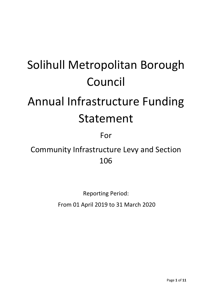# Solihull Metropolitan Borough Council

# Annual Infrastructure Funding Statement

For

Community Infrastructure Levy and Section 106

> Reporting Period: From 01 April 2019 to 31 March 2020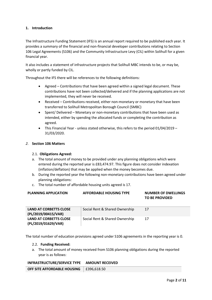# **1. Introduction**

The Infrastructure Funding Statement (IFS) is an annual report required to be published each year. It provides a summary of the financial and non-financial developer contributions relating to Section 106 Legal Agreements (S106) and the Community Infrastructure Levy (CIL) within Solihull for a given financial year.

It also includes a statement of infrastructure projects that Solihull MBC intends to be, or may be, wholly or partly funded by CIL.

Throughout the IFS there will be references to the following definitions:

- Agreed Contributions that have been agreed within a signed legal document. These contributions have not been collected/delivered and if the planning applications are not implemented, they will never be received.
- Received Contributions received, either non-monetary or monetary that have been transferred to Solihull Metropolitan Borough Council (SMBC)
- Spent/ Delivered Monetary or non-monetary contributions that have been used as intended, either by spending the allocated funds or completing the contribution as agreed.
- This Financial Year unless stated otherwise, this refers to the period 01/04/2019 31/03/2020.

## *2.* **Section 106 Matters**

### 2.1. **Obligations Agreed:**

- a. The total amount of money to be provided under any planning obligations which were entered during the reported year is £83,474.97. This figure does not consider indexation (inflation/deflation) that may be applied when the money becomes due.
- b. During the reported year the following non-monetary contributions have been agreed under planning obligations:
- c. The total number of affordable housing units agreed is 17.

| <b>PLANNING APPLICATION</b>                          | <b>AFFORDABLE HOUSING TYPE</b> | <b>NUMBER OF DWELLINGS</b><br><b>TO BE PROVIDED</b> |
|------------------------------------------------------|--------------------------------|-----------------------------------------------------|
| <b>LAND AT CORBETTS CLOSE</b><br>(PL/2019/00415/VAR) | Social Rent & Shared Ownership | 17                                                  |
| <b>LAND AT CORBETTS CLOSE</b><br>(PL/2019/01629/VAR) | Social Rent & Shared Ownership | 17                                                  |

The total number of education provisions agreed under S106 agreements in the reporting year is 0.

### 2.2. **Funding Received:**

a. The total amount of money received from S106 planning obligations during the reported year is as follows:

#### **INFRASTRUCTURE/SERVICE TYPE AMOUNT RECEIVED**

**OFF SITE AFFORDABLE HOUSING** | £396,618.50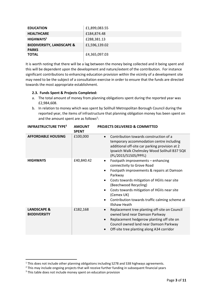| <b>EDUCATION</b>                                     | £1,899,083.55 |
|------------------------------------------------------|---------------|
| <b>HEALTHCARE</b>                                    | £184,874.48   |
| HIGHWAYS <sup>1</sup>                                | £288,381.13   |
| <b>BIODIVERSITY, LANDSCAPE &amp;</b><br><b>PARKS</b> | £1,596,139.02 |
| <b>TOTAL</b>                                         | £4,365,097.03 |

It is worth noting that there will be a lag between the money being collected and it being spent and this will be dependent upon the development and nature/extent of the contribution. For instance significant contributions to enhancing education provision within the vicinity of a development site may need to be the subject of a consultation exercise in order to ensure that the funds are directed towards the most appropriate establishment.

# **2.3. Funds Spent & Projects Completed:**

- a. The total amount of money from planning obligations spent during the reported year was £2,984,608.
- b. In relation to money which was spent by Solihull Metropolitan Borough Council during the reported year, the items of infrastructure that planning obligation money has been spent on and the amount spent are as follows<sup>2</sup>:

| <b>INFRASTRUCTURE TYPE<sup>3</sup></b>        | <b>AMOUNT</b><br><b>SPENT</b> | <b>PROJECTS DELIVERED &amp; COMMITTED</b>                                                                                                                                                                                                                                                                                                                           |
|-----------------------------------------------|-------------------------------|---------------------------------------------------------------------------------------------------------------------------------------------------------------------------------------------------------------------------------------------------------------------------------------------------------------------------------------------------------------------|
| <b>AFFORDABLE HOUSING</b>                     | £100,000                      | Contribution towards construction of a<br>$\bullet$<br>temporary accommodation centre including<br>additional off-site car parking provision at 2<br>Ipswich Walk Chelmsley Wood Solihull B37 5QX<br>(PL/2015/51505/PPFL)                                                                                                                                           |
| <b>HIGHWAYS</b>                               | £40,840.42                    | Footpath improvements - enhancing<br>$\bullet$<br>connectivity to Grove Road<br>Footpath improvements & repairs at Damson<br>$\bullet$<br>Parkway<br>Costs towards mitigation of HGVs near site<br>(Beechwood Recycling)<br>Costs towards mitigation of HGVs near site<br>(Cemex UK)<br>Contribution towards traffic calming scheme at<br>٠<br><b>Illshaw Heath</b> |
| <b>LANDSCAPE &amp;</b><br><b>BIODIVERSITY</b> | £182,168                      | Replacement tree planting off-site on Council<br>$\bullet$<br>owned land near Damson Parkway<br>Replacement hedgerow planting off site on<br>$\bullet$<br>Council owned land near Damson Parkway<br>Off-site tree planting along A34 corridor                                                                                                                       |

**.** 

<sup>&</sup>lt;sup>1</sup> This does not include other planning obligations including S278 and S38 highways agreements.

<sup>&</sup>lt;sup>2</sup> This may include ongoing projects that will receive further funding in subsequent financial years

<sup>&</sup>lt;sup>3</sup> This table does not include money spent on education provision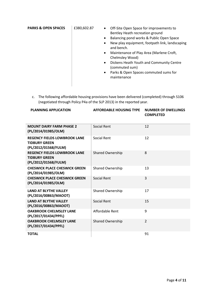| (commuted sum)<br>Parks & Open Spaces commuted sums for<br>$\bullet$<br>maintenance | New play equipment, footpath link, landscaping<br>$\bullet$<br>and bench.<br>Maintenance of Play Area (Marlene Croft,<br>$\bullet$<br>Chelmsley Wood)<br>$\bullet$ | <b>PARKS &amp; OPEN SPACES</b><br>£380,602.87<br>Off-Site Open Space for improvements to<br>$\bullet$<br>Bentley Heath recreation ground<br>$\bullet$ | Balancing pond works & Public Open Space<br>Dickens Heath Youth and Community Centre |
|-------------------------------------------------------------------------------------|--------------------------------------------------------------------------------------------------------------------------------------------------------------------|-------------------------------------------------------------------------------------------------------------------------------------------------------|--------------------------------------------------------------------------------------|
|-------------------------------------------------------------------------------------|--------------------------------------------------------------------------------------------------------------------------------------------------------------------|-------------------------------------------------------------------------------------------------------------------------------------------------------|--------------------------------------------------------------------------------------|

c. The following affordable housing provisions have been delivered (completed) through S106 (negotiated through Policy P4a of the SLP 2013) in the reported year.

| <b>PLANNING APPLICATION</b> | AFFORDABLE HOUSING TYPE NUMBER OF DWELLINGS |                  |
|-----------------------------|---------------------------------------------|------------------|
|                             |                                             | <b>COMPLETED</b> |
|                             |                                             |                  |

| <b>MOUNT DAIRY FARM PHASE 2</b><br>(PL/2014/01985/OLM)                              | Social Rent             | 12             |
|-------------------------------------------------------------------------------------|-------------------------|----------------|
| <b>REGENCY FIELDS LOWBROOK LANE</b><br><b>TIDBURY GREEN</b><br>(PL/2012/01568/FULM) | <b>Social Rent</b>      | 12             |
| <b>REGENCY FIELDS LOWBROOK LANE</b><br><b>TIDBURY GREEN</b><br>(PL/2012/01568/FULM) | <b>Shared Ownership</b> | 8              |
| <b>CHESWICK PLACE CHESWICK GREEN</b><br>(PL/2014/01985/OLM)                         | Shared Ownership        | 13             |
| <b>CHESWICK PLACE CHESWICK GREEN</b><br>(PL/2014/01985/OLM)                         | Social Rent             | 3              |
| <b>LAND AT BLYTHE VALLEY</b><br>(PL/2016/00863/MAOOT)                               | <b>Shared Ownership</b> | 17             |
| <b>LAND AT BLYTHE VALLEY</b><br>(PL/2016/00863/MAOOT)                               | Social Rent             | 15             |
| <b>OAKBROOK CHELMSLEY LANE</b><br>(PL/2017/01434/PPFL)                              | Affordable Rent         | 9              |
| <b>OAKBROOK CHELMSLEY LANE</b><br>(PL/2017/01434/PPFL)                              | <b>Shared Ownership</b> | $\overline{2}$ |
| <b>TOTAL</b>                                                                        |                         | 91             |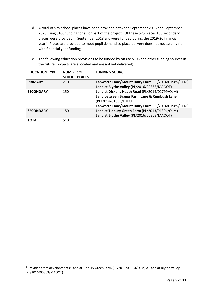- d. A total of 525 school places have been provided between September 2015 and September 2020 using S106 funding for all or part of the project. Of these 525 places 150 secondary places were provided in September 2018 and were funded during the 2019/20 financial year<sup>4</sup>. Places are provided to meet pupil demand so place delivery does not necessarily fit with financial year funding.
- e. The following education provisions to be funded by offsite S106 and other funding sources in the future (projects are allocated and are not yet delivered):

| <b>EDUCATION TYPE</b> | <b>NUMBER OF</b><br><b>SCHOOL PLACES</b> | <b>FUNDING SOURCE</b>                                                                                                                                                        |
|-----------------------|------------------------------------------|------------------------------------------------------------------------------------------------------------------------------------------------------------------------------|
| <b>PRIMARY</b>        | 210                                      | Tanworth Lane/Mount Dairy Farm (PL/2014/01985/OLM)<br>Land at Blythe Valley (PL/2016/00863/MAOOT)                                                                            |
| <b>SECONDARY</b>      | 150                                      | Land at Dickens Heath Road (PL/2014/01799/OLM)<br>Land between Braggs Farm Lane & Rumbush Lane<br>(PL/2014/01835/FULM)<br>Tanworth Lane/Mount Dairy Farm (PL/2014/01985/OLM) |
| <b>SECONDARY</b>      | 150                                      | Land at Tidbury Green Farm (PL/2013/01394/OLM)<br>Land at Blythe Valley (PL/2016/00863/MAOOT)                                                                                |
| TOTAL                 | 510                                      |                                                                                                                                                                              |

1

<sup>4</sup> Provided from developments: Land at Tidbury Green Farm (PL/2013/01394/OLM) & Land at Blythe Valley (PL/2016/00863/MAOOT)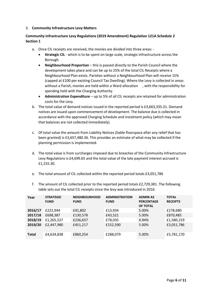#### 3. **Community Infrastructure Levy Matters**

# **Community Infrastructure Levy Regulations (2019 Amendment) Regulation 121A Schedule 2 Section 1**

- a. Once CIL receipts are received, the monies are divided into three areas:
	- **Strategic CIL** which is to be spent on large scale, strategic infrastructure across the Borough.
	- **Neighbourhood Proportion** this is passed directly to the Parish Council where the development takes place and can be up to 25% of the total CIL Receipts where a Neighbourhood Plan exists. Parishes without a Neighbourhood Plan will receive 15% (capped at £100 per existing Council Tax Dwelling). Where the Levy is collected in areas without a Parish, monies are held within a Ward allocation , with the responsibility for spending held with the Charging Authority.
	- **Administration Expenditure** up to 5% of all CIL receipts are retained for administration costs for the Levy.
- b. The total value of demand notices issued in the reported period is £3,663,335.31. Demand notices are issued upon commencement of development. The balance due is collected in accordance with the approved Charging Schedule and instalment policy (which may mean that balances are not collected immediately).
- c. Of total value the amount from Liability Notices (liable floorspace after any relief that has been granted) is £3,657,480.36. This provides an estimate of what may be collected if the planning permission is implemented.
- d. The total value is from surcharges imposed due to breaches of the Community Infrastructure Levy Regulations is £4,699.65 and the total value of the late payment interest accrued is £1,155.30.
- e. The total amount of CIL collected within the reported period totals £3,051,786
- f. The amount of CIL collected prior to the reported period totals £2,729,381. The following table sets out the total CIL receipts since the levy was introduced in 2016:

| Year         | <b>STRATEGIC</b><br><b>FUND</b> | <b>NEIGHBOURHOOD</b><br><b>FUND</b> | <b>ADMINISTRATION</b><br><b>FUND</b> | <b>ADMIN AS</b><br><b>PERCENTAGE</b><br>OF TOTAL | <b>TOTAL</b><br><b>RECEIPTS</b> |
|--------------|---------------------------------|-------------------------------------|--------------------------------------|--------------------------------------------------|---------------------------------|
| 2016/17      | £222,944                        | £41,802                             | £13,934                              | 5.00%                                            | £278,680                        |
| 2017/18      | £698,387                        | £130,578                            | £43,521                              | 5.00%                                            | £870,485                        |
| 2018/19      | £1,265,527                      | £236,657                            | £78,035                              | 4.94%                                            | £1,580,219                      |
| 2019/20      | £2,447,980                      | £451,217                            | £152,590                             | 5.00%                                            | £3,051,786                      |
| <b>Total</b> | £4,634,838                      | £860,254                            | £288,079                             | 5.00%                                            | £5,781,170                      |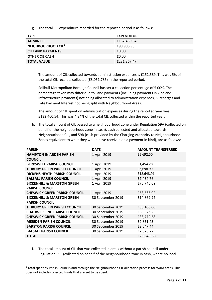g. The total CIL expenditure recorded for the reported period is as follows:

| <b>TYPE</b>                    | <b>EXPENDITURE</b> |
|--------------------------------|--------------------|
| <b>ADMIN CIL</b>               | £132,460.54        |
| NEIGHBOURHOOD CIL <sup>5</sup> | £98,906.93         |
| <b>CIL LAND PAYMENTS</b>       | £0.00              |
| <b>OTHER CIL CASH</b>          | £0.00              |
| <b>TOTAL VALUE</b>             | £231,367.47        |

The amount of CIL collected towards administration expenses is £152,589. This was 5% of the total CIL receipts collected (£3,051,786) in the reported period.

Solihull Metropolitan Borough Council has set a collection percentage of 5.00%. The percentage taken may differ due to Land payments (including payments in kind and infrastructure payments) not being allocated to administration expenses, Surcharges and Late Payment Interest not being split with Neighbourhood Areas.

The amount of CIL spent on administration expenses during the reported year was £132,460.54. This was 4.34% of the total CIL collected within the reported year.

h. The total amount of CIL passed to a neighbourhood zone under Regulation 59A (collected on behalf of the neighbourhood zone in cash), cash collected and allocated towards Neighbourhood CIL, and 59B (cash provided by the Charging Authority to Neighbourhood Zones equivalent to what they would have received on a payment in kind), are as follows:

| <b>PARISH</b>                         | <b>DATE</b>       | <b>AMOUNT TRANSFERRED</b> |
|---------------------------------------|-------------------|---------------------------|
| <b>HAMPTON IN ARDEN PARISH</b>        | 1 April 2019      | £5,692.50                 |
| <b>COUNCIL</b>                        |                   |                           |
| <b>BERKSWELL PARISH COUNCIL</b>       | 1 April 2019      | £1,454.28                 |
| <b>TIDBURY GREEN PARISH COUNCIL</b>   | 1 April 2019      | £3,698.99                 |
| <b>DICKENS HEATH PARISH COUNCIL</b>   | 1 April 2019      | £12,648.91                |
| <b>BALSALL PARISH COUNCIL</b>         | 1 April 2019      | £7,434.76                 |
| <b>BICKENHILL &amp; MARSTON GREEN</b> | 1 April 2019      | £75,745.69                |
| <b>PARISH COUNCIL</b>                 |                   |                           |
| <b>CHESWICK GREEN PARISH COUNCIL</b>  | 1 April 2019      | £58,566.92                |
| <b>BICKENHILL &amp; MARSTON GREEN</b> | 30 September 2019 | £14,869.92                |
| <b>PARISH COUNCIL</b>                 |                   |                           |
| <b>TIDBURY GREEN PARISH COUNCIL</b>   | 30 September 2019 | £56,100.00                |
| <b>CHADWICK END PARISH COUNCIL</b>    | 30 September 2019 | £8,637.92                 |
| <b>CHESWICK GREEN PARISH COUNCIL</b>  | 30 September 2019 | £33,772.58                |
| <b>MERIDEN PARISH COUNCIL</b>         | 30 September 2019 | £2,851.43                 |
| <b>BARSTON PARISH COUNCIL</b>         | 30 September 2019 | £2,547.44                 |
| <b>BALSALL PARISH COUNCIL</b>         | 30 September 2019 | £2,828.72                 |
| <b>TOTAL</b>                          |                   | £256,485.86               |

i. The total amount of CIL that was collected in areas without a parish council under Regulation 59F (collected on behalf of the neighbourhood zone in cash, where no local

1

<sup>5</sup> Total spent by Parish Councils and through the Neighbourhood CIL allocation process for Ward areas. This does not include collected funds that are yet to be spent.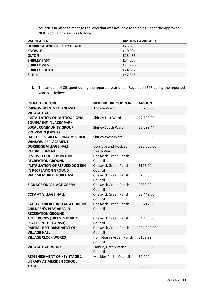council is in place to manage the levy) that was available for bidding under the Approved NCIL bidding process is as follows:

| <b>WARD AREA</b>                  | <b>AMOUNT AVAILABLE</b> |
|-----------------------------------|-------------------------|
| <b>DORRIDGE AND HOCKLEY HEATH</b> | £26,835                 |
| <b>KNOWLE</b>                     | £10,994                 |
| <b>OLTON</b>                      | £18,485                 |
| <b>SHIRLEY EAST</b>               | £54,277                 |
| <b>SHIRLEY WEST</b>               | £21,276                 |
| <b>SHIRLEY SOUTH</b>              | £24,817                 |
| <b>SILHILL</b>                    | £47,345                 |

j. The amount of CIL spent during the reported year under Regulation 59F during the reported year is as follows:

| <b>INFRASTRUCTURE</b>                                                                               | <b>NEIGHBOURHOOD ZONE</b>                 | <b>AMOUNT</b> |
|-----------------------------------------------------------------------------------------------------|-------------------------------------------|---------------|
| <b>IMPROVEMENTS TO KNOWLE</b><br><b>VILLAGE HALL</b>                                                | Knowle Ward                               | £8,200.00     |
| <b>INSTALLATION OF OUTDOOR GYM</b><br><b>EQUIPMENT IN JACEY PARK</b>                                | Shirley East Ward                         | £7,500.00     |
| <b>LOCAL COMMUNITY GROUP</b><br><b>PROVISION (LAYCA)</b>                                            | Shirley South Ward                        | £8,092.44     |
| <b>HASLUCK'S GREEN PRIMARY SCHOOL</b><br><b>WINDOW REPLACEMENT</b>                                  | Shirley West Ward                         | £6,000.00     |
| <b>DORRIDGE VILLAGE HALL</b><br><b>REFURBISHMENT</b>                                                | Dorridge and Hockley<br><b>Heath Ward</b> | £20,000.00    |
| <b>LEST WE FORGET BENCH IN</b><br><b>RECREATION GROUND</b>                                          | Cheswick Green Parish<br>Council          | £809.50       |
| <b>INSTALLATION OF REFUSE/DOG BIN</b><br><b>IN RECREATION GROUND</b>                                | <b>Cheswick Green Parish</b><br>Council   | £196.00       |
| <b>WAR MEMORIAL PURCHASE</b>                                                                        | <b>Cheswick Green Parish</b><br>Council   | £753.00       |
| <b>SIGNAGE ON VILLAGE GREEN</b>                                                                     | <b>Cheswick Green Parish</b><br>Council   | £388.00       |
| <b>CCTV AT VILLAGE HALL</b>                                                                         | <b>Cheswick Green Parish</b><br>Council   | £3,442.00     |
| <b>SAFETY SURFACE INSTALLATION ON</b><br><b>CHILDREN'S PLAY AREA IN</b><br><b>RECREATION GROUND</b> | <b>Cheswick Green Parish</b><br>Council   | £6,417.00     |
| TREE WORKS (TREES IN PUBLIC<br><b>PLACES IN THE PARISH)</b>                                         | <b>Cheswick Green Parish</b><br>Council   | £4,405.00     |
| PARTIAL REFURBISHMENT OF<br><b>VILLAGE HALL</b>                                                     | <b>Cheswick Green Parish</b><br>Council   | £24,040.00    |
| <b>VILLAGE CLOCK WORKS</b>                                                                          | Hampton in Arden Parish<br>Council        | £163.99       |
| <b>VILLAGE HALL WORKS</b>                                                                           | <b>Tidbury Green Parish</b><br>Council    | £6,500.00     |
| <b>REPLENISHMENT OF KEY STAGE 1</b><br><b>LIBRARY AT MERIDEN SCHOOL</b>                             | Meriden Parish Council                    | £2,000        |
| <b>TOTAL</b>                                                                                        |                                           | £98,906.93    |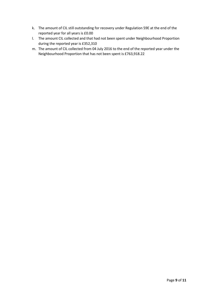- k. The amount of CIL still outstanding for recovery under Regulation 59E at the end of the reported year for all years is £0.00
- l. The amount CIL collected and that had not been spent under Neighbourhood Proportion during the reported year is £352,310
- m. The amount of CIL collected from 04 July 2016 to the end of the reported year under the Neighbourhood Proportion that has not been spent is £763,918.22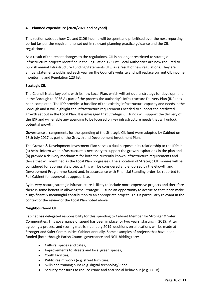# **4. Planned expenditure (2020/2021 and beyond)**

This section sets out how CIL and S106 income will be spent and prioritised over the next reporting period (as per the requirements set out in relevant planning practice guidance and the CIL regulations).

As a result of the recent changes to the regulations, CIL is no longer restricted to strategic infrastructure projects identified in the Regulation 123 List. Local Authorities are now required to publish annual Infrastructure Funding Statements (IFS) as a result of new regulations. They are annual statements published each year on the Council's website and will replace current CIL income monitoring and Regulation 123 list.

# **Strategic CIL**

The Council is at a key point with its new Local Plan, which will set out its strategy for development in the Borough to 2036 As part of the process the authority's Infrastructure Delivery Plan (IDP) has been completed. The IDP provides a baseline of the existing infrastructure capacity and needs in the Borough and it will highlight the infrastructure requirements needed to support the predicted growth set out in the Local Plan. It is envisaged that Strategic CIL funds will support the delivery of the IDP and will enable any spending to be focused on key infrastructure needs that will unlock potential growth.

Governance arrangements for the spending of the Strategic CIL fund were adopted by Cabinet on 13th July 2017 as part of the Growth and Development Investment Plan.

The Growth & Development Investment Plan serves a dual purpose in its relationship to the IDP; it (a) helps inform what infrastructure is necessary to support the growth aspirations in the plan and (b) provide a delivery mechanism for both the currently known infrastructure requirements and those that will identified as the Local Plan progresses. The allocation of Strategic CIL monies will be considered for appropriate projects, this will be considered and endorsed by the Growth and Development Programme Board and, in accordance with Financial Standing order, be reported to Full Cabinet for approval as appropriate.

By its very nature, strategic infrastructure is likely to include more expensive projects and therefore there is some benefit in allowing the Strategic CIL fund an opportunity to accrue so that it can make a significant & meaningful contribution to an appropriate project. This is particularly relevant in the context of the review of the Local Plan noted above.

### **Neighbourhood CIL**

Cabinet has delegated responsibility for this spending to Cabinet Member for Stronger & Safer Communities. This governance of spend has been in place for two years, starting in 2019. After agreeing a process and scoring matrix in January 2019, decisions on allocations will be made at Stronger and Safer Communities Cabinet annually. Some examples of projects that have been funded (both through Parish Council governance and NCIL bidding) are:

- Cultural spaces and cafes;
- Improvements to streets and local green spaces;
- Youth facilities;
- Public realm works (e.g. street furniture);
- Skills and training hubs (e.g. digital technology); and
- Security measures to reduce crime and anti-social behaviour (e.g. CCTV).